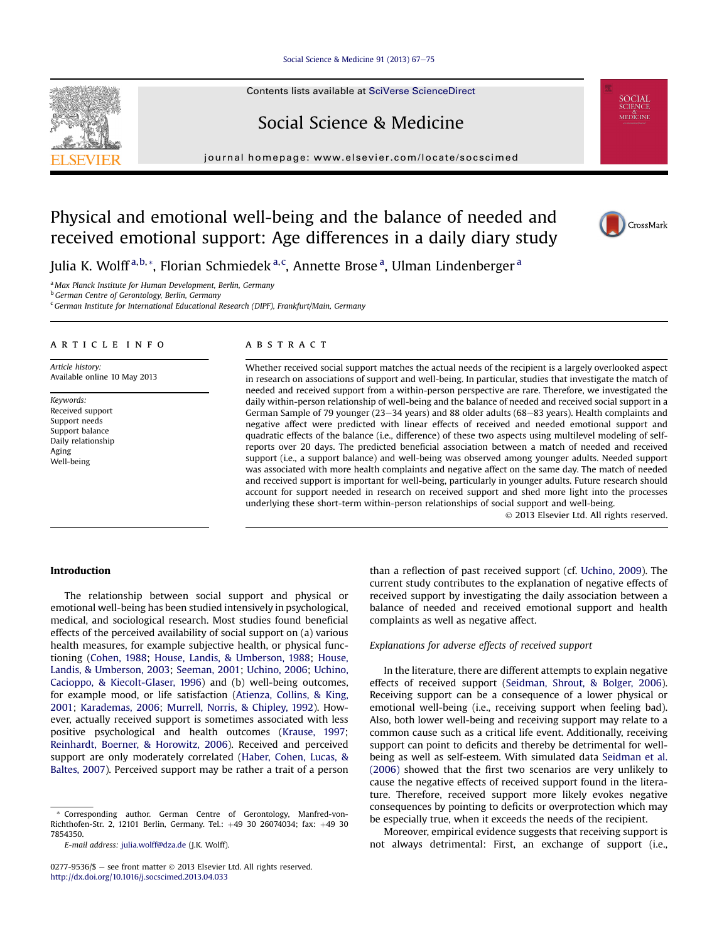### [Social Science & Medicine 91 \(2013\) 67](http://dx.doi.org/10.1016/j.socscimed.2013.04.033)-[75](http://dx.doi.org/10.1016/j.socscimed.2013.04.033)

Contents lists available at [SciVerse ScienceDirect](www.sciencedirect.com/science/journal/02779536)

# Social Science & Medicine

journal homepage: [www.elsevier.com/locate/socscimed](http://www.elsevier.com/locate/socscimed)

# Physical and emotional well-being and the balance of needed and received emotional support: Age differences in a daily diary study



Julia K. Wolff<sup>a,b,</sup>\*, Florian Schmiedek<sup>a,c</sup>, Annette Brose<sup>a</sup>, Ulman Lindenberger<sup>a</sup>

<sup>a</sup> Max Planck Institute for Human Development, Berlin, Germany

<sup>b</sup> German Centre of Gerontology, Berlin, Germany

<sup>c</sup> German Institute for International Educational Research (DIPF), Frankfurt/Main, Germany

#### article info

Article history: Available online 10 May 2013

Keywords: Received support Support needs Support balance Daily relationship Aging Well-being

# **ABSTRACT**

Whether received social support matches the actual needs of the recipient is a largely overlooked aspect in research on associations of support and well-being. In particular, studies that investigate the match of needed and received support from a within-person perspective are rare. Therefore, we investigated the daily within-person relationship of well-being and the balance of needed and received social support in a German Sample of 79 younger (23-34 years) and 88 older adults (68-83 years). Health complaints and negative affect were predicted with linear effects of received and needed emotional support and quadratic effects of the balance (i.e., difference) of these two aspects using multilevel modeling of selfreports over 20 days. The predicted beneficial association between a match of needed and received support (i.e., a support balance) and well-being was observed among younger adults. Needed support was associated with more health complaints and negative affect on the same day. The match of needed and received support is important for well-being, particularly in younger adults. Future research should account for support needed in research on received support and shed more light into the processes underlying these short-term within-person relationships of social support and well-being.

2013 Elsevier Ltd. All rights reserved.

**SOCIAI**<br>SCIENCI MEDICINE

CrossMark

## Introduction

The relationship between social support and physical or emotional well-being has been studied intensively in psychological, medical, and sociological research. Most studies found beneficial effects of the perceived availability of social support on (a) various health measures, for example subjective health, or physical functioning [\(Cohen, 1988;](#page-7-0) [House, Landis, & Umberson, 1988](#page-7-0); [House,](#page-7-0) [Landis, & Umberson, 2003](#page-7-0); [Seeman, 2001](#page-8-0); [Uchino, 2006](#page-8-0); [Uchino,](#page-8-0) [Cacioppo, & Kiecolt-Glaser, 1996\)](#page-8-0) and (b) well-being outcomes, for example mood, or life satisfaction ([Atienza, Collins, & King,](#page-7-0) [2001;](#page-7-0) [Karademas, 2006](#page-7-0); [Murrell, Norris, & Chipley, 1992](#page-8-0)). However, actually received support is sometimes associated with less positive psychological and health outcomes [\(Krause, 1997;](#page-7-0) [Reinhardt, Boerner, & Horowitz, 2006\)](#page-8-0). Received and perceived support are only moderately correlated ([Haber, Cohen, Lucas, &](#page-7-0) [Baltes, 2007\)](#page-7-0). Perceived support may be rather a trait of a person

\* Corresponding author. German Centre of Gerontology, Manfred-von-Richthofen-Str. 2, 12101 Berlin, Germany. Tel.: +49 30 26074034; fax: +49 30 7854350.

than a reflection of past received support (cf. [Uchino, 2009\)](#page-8-0). The current study contributes to the explanation of negative effects of received support by investigating the daily association between a balance of needed and received emotional support and health complaints as well as negative affect.

# Explanations for adverse effects of received support

In the literature, there are different attempts to explain negative effects of received support [\(Seidman, Shrout, & Bolger, 2006\)](#page-8-0). Receiving support can be a consequence of a lower physical or emotional well-being (i.e., receiving support when feeling bad). Also, both lower well-being and receiving support may relate to a common cause such as a critical life event. Additionally, receiving support can point to deficits and thereby be detrimental for wellbeing as well as self-esteem. With simulated data [Seidman et al.](#page-8-0) [\(2006\)](#page-8-0) showed that the first two scenarios are very unlikely to cause the negative effects of received support found in the literature. Therefore, received support more likely evokes negative consequences by pointing to deficits or overprotection which may be especially true, when it exceeds the needs of the recipient.

Moreover, empirical evidence suggests that receiving support is not always detrimental: First, an exchange of support (i.e.,



E-mail address: [julia.wolff@dza.de](mailto:julia.wolff@dza.de) (J.K. Wolff).

 $0277-9536/\$$  – see front matter  $\odot$  2013 Elsevier Ltd. All rights reserved. <http://dx.doi.org/10.1016/j.socscimed.2013.04.033>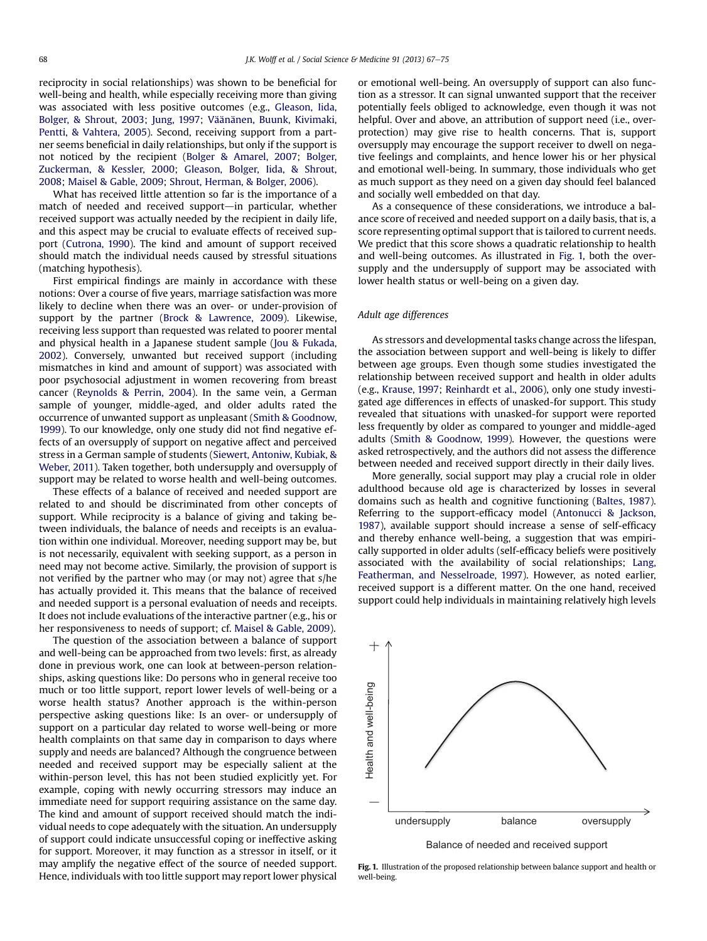reciprocity in social relationships) was shown to be beneficial for well-being and health, while especially receiving more than giving was associated with less positive outcomes (e.g., [Gleason, Iida,](#page-7-0) [Bolger, & Shrout, 2003;](#page-7-0) [Jung, 1997;](#page-7-0) [Väänänen, Buunk, Kivimaki,](#page-8-0) [Pentti, & Vahtera, 2005\)](#page-8-0). Second, receiving support from a partner seems beneficial in daily relationships, but only if the support is not noticed by the recipient [\(Bolger & Amarel, 2007](#page-7-0); [Bolger,](#page-7-0) [Zuckerman, & Kessler, 2000](#page-7-0); [Gleason, Bolger, Iida, & Shrout,](#page-7-0) [2008](#page-7-0); [Maisel & Gable, 2009;](#page-8-0) [Shrout, Herman, & Bolger, 2006](#page-8-0)).

What has received little attention so far is the importance of a match of needed and received support-in particular, whether received support was actually needed by the recipient in daily life, and this aspect may be crucial to evaluate effects of received support ([Cutrona, 1990](#page-7-0)). The kind and amount of support received should match the individual needs caused by stressful situations (matching hypothesis).

First empirical findings are mainly in accordance with these notions: Over a course of five years, marriage satisfaction was more likely to decline when there was an over- or under-provision of support by the partner ([Brock & Lawrence, 2009\)](#page-7-0). Likewise, receiving less support than requested was related to poorer mental and physical health in a Japanese student sample ([Jou & Fukada,](#page-7-0) [2002](#page-7-0)). Conversely, unwanted but received support (including mismatches in kind and amount of support) was associated with poor psychosocial adjustment in women recovering from breast cancer ([Reynolds & Perrin, 2004\)](#page-8-0). In the same vein, a German sample of younger, middle-aged, and older adults rated the occurrence of unwanted support as unpleasant ([Smith & Goodnow,](#page-8-0) [1999](#page-8-0)). To our knowledge, only one study did not find negative effects of an oversupply of support on negative affect and perceived stress in a German sample of students ([Siewert, Antoniw, Kubiak, &](#page-8-0) [Weber, 2011](#page-8-0)). Taken together, both undersupply and oversupply of support may be related to worse health and well-being outcomes.

These effects of a balance of received and needed support are related to and should be discriminated from other concepts of support. While reciprocity is a balance of giving and taking between individuals, the balance of needs and receipts is an evaluation within one individual. Moreover, needing support may be, but is not necessarily, equivalent with seeking support, as a person in need may not become active. Similarly, the provision of support is not verified by the partner who may (or may not) agree that s/he has actually provided it. This means that the balance of received and needed support is a personal evaluation of needs and receipts. It does not include evaluations of the interactive partner (e.g., his or her responsiveness to needs of support; cf. [Maisel & Gable, 2009\)](#page-8-0).

The question of the association between a balance of support and well-being can be approached from two levels: first, as already done in previous work, one can look at between-person relationships, asking questions like: Do persons who in general receive too much or too little support, report lower levels of well-being or a worse health status? Another approach is the within-person perspective asking questions like: Is an over- or undersupply of support on a particular day related to worse well-being or more health complaints on that same day in comparison to days where supply and needs are balanced? Although the congruence between needed and received support may be especially salient at the within-person level, this has not been studied explicitly yet. For example, coping with newly occurring stressors may induce an immediate need for support requiring assistance on the same day. The kind and amount of support received should match the individual needs to cope adequately with the situation. An undersupply of support could indicate unsuccessful coping or ineffective asking for support. Moreover, it may function as a stressor in itself, or it may amplify the negative effect of the source of needed support. Hence, individuals with too little support may report lower physical or emotional well-being. An oversupply of support can also function as a stressor. It can signal unwanted support that the receiver potentially feels obliged to acknowledge, even though it was not helpful. Over and above, an attribution of support need (i.e., overprotection) may give rise to health concerns. That is, support oversupply may encourage the support receiver to dwell on negative feelings and complaints, and hence lower his or her physical and emotional well-being. In summary, those individuals who get as much support as they need on a given day should feel balanced and socially well embedded on that day.

As a consequence of these considerations, we introduce a balance score of received and needed support on a daily basis, that is, a score representing optimal support that is tailored to current needs. We predict that this score shows a quadratic relationship to health and well-being outcomes. As illustrated in Fig. 1, both the oversupply and the undersupply of support may be associated with lower health status or well-being on a given day.

## Adult age differences

As stressors and developmental tasks change across the lifespan, the association between support and well-being is likely to differ between age groups. Even though some studies investigated the relationship between received support and health in older adults (e.g., [Krause, 1997;](#page-7-0) [Reinhardt et al., 2006\)](#page-8-0), only one study investigated age differences in effects of unasked-for support. This study revealed that situations with unasked-for support were reported less frequently by older as compared to younger and middle-aged adults [\(Smith & Goodnow, 1999](#page-8-0)). However, the questions were asked retrospectively, and the authors did not assess the difference between needed and received support directly in their daily lives.

More generally, social support may play a crucial role in older adulthood because old age is characterized by losses in several domains such as health and cognitive functioning [\(Baltes, 1987\)](#page-7-0). Referring to the support-efficacy model ([Antonucci & Jackson,](#page-7-0) [1987](#page-7-0)), available support should increase a sense of self-efficacy and thereby enhance well-being, a suggestion that was empirically supported in older adults (self-efficacy beliefs were positively associated with the availability of social relationships; [Lang,](#page-8-0) [Featherman, and Nesselroade, 1997\)](#page-8-0). However, as noted earlier, received support is a different matter. On the one hand, received support could help individuals in maintaining relatively high levels



Balance of needed and received support

Fig. 1. Illustration of the proposed relationship between balance support and health or well-being.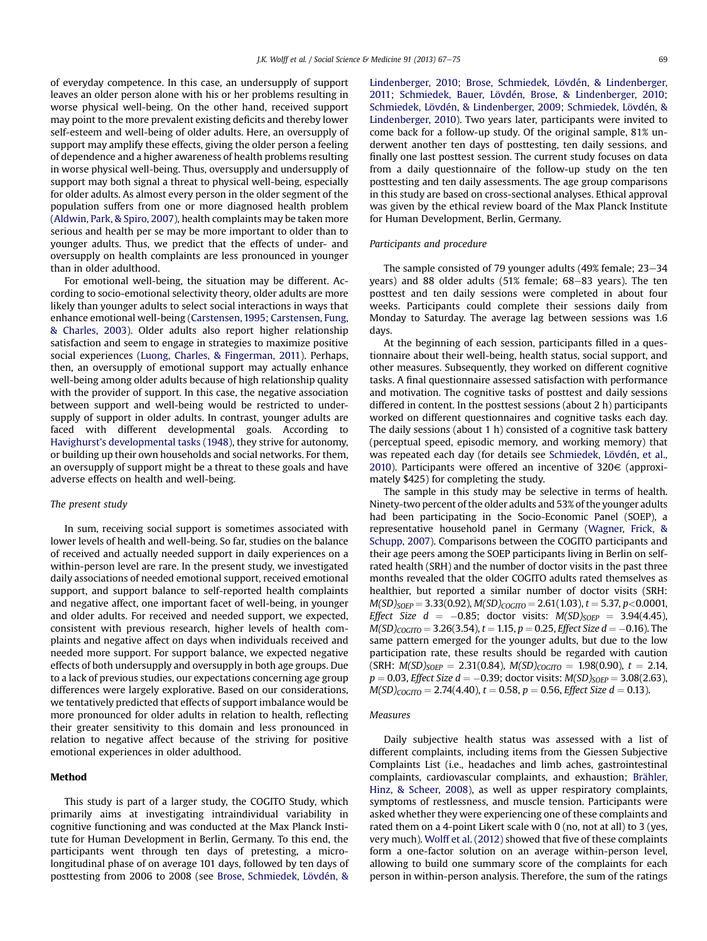of everyday competence. In this case, an undersupply of support leaves an older person alone with his or her problems resulting in worse physical well-being. On the other hand, received support may point to the more prevalent existing deficits and thereby lower self-esteem and well-being of older adults. Here, an oversupply of support may amplify these effects, giving the older person a feeling of dependence and a higher awareness of health problems resulting in worse physical well-being. Thus, oversupply and undersupply of support may both signal a threat to physical well-being, especially for older adults. As almost every person in the older segment of the population suffers from one or more diagnosed health problem ([Aldwin, Park, & Spiro, 2007](#page-7-0)), health complaints may be taken more serious and health per se may be more important to older than to younger adults. Thus, we predict that the effects of under- and oversupply on health complaints are less pronounced in younger than in older adulthood.

For emotional well-being, the situation may be different. According to socio-emotional selectivity theory, older adults are more likely than younger adults to select social interactions in ways that enhance emotional well-being [\(Carstensen, 1995;](#page-7-0) [Carstensen, Fung,](#page-7-0) [& Charles, 2003\)](#page-7-0). Older adults also report higher relationship satisfaction and seem to engage in strategies to maximize positive social experiences ([Luong, Charles, & Fingerman, 2011](#page-8-0)). Perhaps, then, an oversupply of emotional support may actually enhance well-being among older adults because of high relationship quality with the provider of support. In this case, the negative association between support and well-being would be restricted to undersupply of support in older adults. In contrast, younger adults are faced with different developmental goals. According to Havighurst'[s developmental tasks \(1948\),](#page-7-0) they strive for autonomy, or building up their own households and social networks. For them, an oversupply of support might be a threat to these goals and have adverse effects on health and well-being.

#### The present study

In sum, receiving social support is sometimes associated with lower levels of health and well-being. So far, studies on the balance of received and actually needed support in daily experiences on a within-person level are rare. In the present study, we investigated daily associations of needed emotional support, received emotional support, and support balance to self-reported health complaints and negative affect, one important facet of well-being, in younger and older adults. For received and needed support, we expected, consistent with previous research, higher levels of health complaints and negative affect on days when individuals received and needed more support. For support balance, we expected negative effects of both undersupply and oversupply in both age groups. Due to a lack of previous studies, our expectations concerning age group differences were largely explorative. Based on our considerations, we tentatively predicted that effects of support imbalance would be more pronounced for older adults in relation to health, reflecting their greater sensitivity to this domain and less pronounced in relation to negative affect because of the striving for positive emotional experiences in older adulthood.

## Method

This study is part of a larger study, the COGITO Study, which primarily aims at investigating intraindividual variability in cognitive functioning and was conducted at the Max Planck Institute for Human Development in Berlin, Germany. To this end, the participants went through ten days of pretesting, a microlongitudinal phase of on average 101 days, followed by ten days of posttesting from 2006 to 2008 (see [Brose, Schmiedek, Lövdén, &](#page-7-0) [Lindenberger, 2010;](#page-7-0) [Brose, Schmiedek, Lövdén, & Lindenberger,](#page-7-0) [2011](#page-7-0); [Schmiedek, Bauer, Lövdén, Brose, & Lindenberger, 2010;](#page-8-0) [Schmiedek, Lövdén, & Lindenberger, 2009;](#page-8-0) [Schmiedek, Lövdén, &](#page-8-0) [Lindenberger, 2010](#page-8-0)). Two years later, participants were invited to come back for a follow-up study. Of the original sample, 81% underwent another ten days of posttesting, ten daily sessions, and finally one last posttest session. The current study focuses on data from a daily questionnaire of the follow-up study on the ten posttesting and ten daily assessments. The age group comparisons in this study are based on cross-sectional analyses. Ethical approval was given by the ethical review board of the Max Planck Institute for Human Development, Berlin, Germany.

#### Participants and procedure

The sample consisted of 79 younger adults  $(49%$  female;  $23-34$ years) and 88 older adults  $(51\% \text{ female}; 68-83 \text{ years})$ . The ten posttest and ten daily sessions were completed in about four weeks. Participants could complete their sessions daily from Monday to Saturday. The average lag between sessions was 1.6 days.

At the beginning of each session, participants filled in a questionnaire about their well-being, health status, social support, and other measures. Subsequently, they worked on different cognitive tasks. A final questionnaire assessed satisfaction with performance and motivation. The cognitive tasks of posttest and daily sessions differed in content. In the posttest sessions (about 2 h) participants worked on different questionnaires and cognitive tasks each day. The daily sessions (about 1 h) consisted of a cognitive task battery (perceptual speed, episodic memory, and working memory) that was repeated each day (for details see [Schmiedek, Lövdén, et al.,](#page-8-0) [2010\)](#page-8-0). Participants were offered an incentive of  $320 \in$  (approximately \$425) for completing the study.

The sample in this study may be selective in terms of health. Ninety-two percent of the older adults and 53% of the younger adults had been participating in the Socio-Economic Panel (SOEP), a representative household panel in Germany ([Wagner, Frick, &](#page-8-0) [Schupp, 2007](#page-8-0)). Comparisons between the COGITO participants and their age peers among the SOEP participants living in Berlin on selfrated health (SRH) and the number of doctor visits in the past three months revealed that the older COGITO adults rated themselves as healthier, but reported a similar number of doctor visits (SRH:  $M(SD)_{SOEP} = 3.33(0.92)$ ,  $M(SD)_{COGITO} = 2.61(1.03)$ ,  $t = 5.37$ ,  $p < 0.0001$ , Effect Size  $d = -0.85$ ; doctor visits:  $M(SD)_{SOEP} = 3.94(4.45)$ ,  $M(SD)_{\text{COGITO}} = 3.26(3.54), t = 1.15, p = 0.25,$  Effect Size  $d = -0.16$ ). The same pattern emerged for the younger adults, but due to the low participation rate, these results should be regarded with caution (SRH:  $M(SD)_{SOEP} = 2.31(0.84)$ ,  $M(SD)_{COGITO} = 1.98(0.90)$ ,  $t = 2.14$ ,  $p = 0.03$ , Effect Size  $d = -0.39$ ; doctor visits:  $M(SD)_{\text{SOEP}} = 3.08(2.63)$ ,  $M(SD)_{COGITO} = 2.74(4.40)$ , t = 0.58, p = 0.56, Effect Size d = 0.13).

# Measures

Daily subjective health status was assessed with a list of different complaints, including items from the Giessen Subjective Complaints List (i.e., headaches and limb aches, gastrointestinal complaints, cardiovascular complaints, and exhaustion; [Brähler,](#page-7-0) [Hinz, & Scheer, 2008\)](#page-7-0), as well as upper respiratory complaints, symptoms of restlessness, and muscle tension. Participants were asked whether they were experiencing one of these complaints and rated them on a 4-point Likert scale with 0 (no, not at all) to 3 (yes, very much). [Wolff et al. \(2012\)](#page-8-0) showed that five of these complaints form a one-factor solution on an average within-person level, allowing to build one summary score of the complaints for each person in within-person analysis. Therefore, the sum of the ratings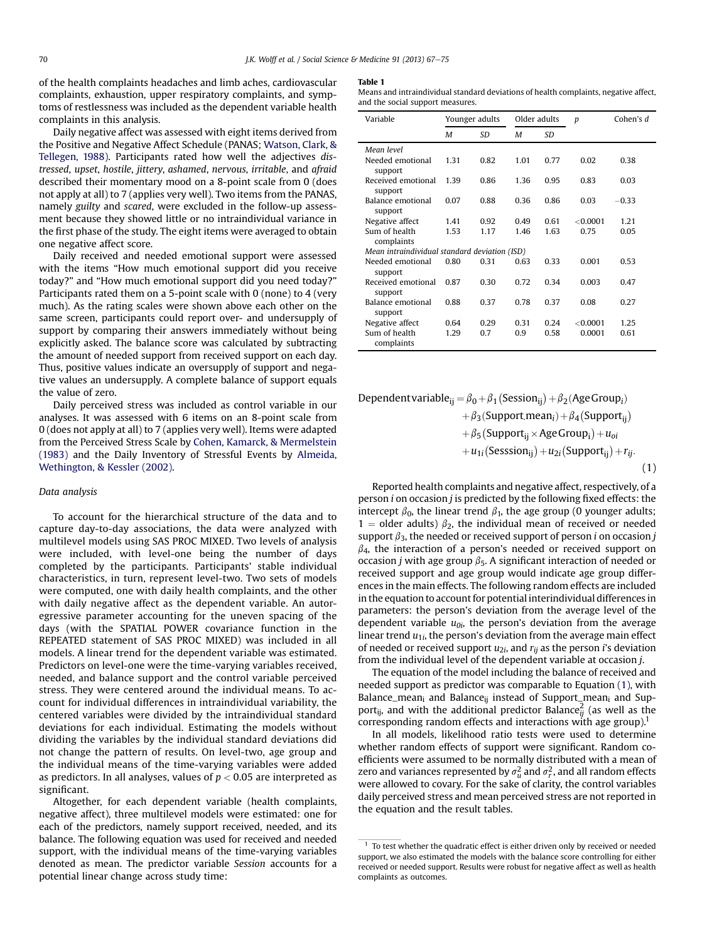<span id="page-3-0"></span>of the health complaints headaches and limb aches, cardiovascular complaints, exhaustion, upper respiratory complaints, and symptoms of restlessness was included as the dependent variable health complaints in this analysis.

Daily negative affect was assessed with eight items derived from the Positive and Negative Affect Schedule (PANAS; [Watson, Clark, &](#page-8-0) [Tellegen, 1988](#page-8-0)). Participants rated how well the adjectives distressed, upset, hostile, jittery, ashamed, nervous, irritable, and afraid described their momentary mood on a 8-point scale from 0 (does not apply at all) to 7 (applies very well). Two items from the PANAS, namely guilty and scared, were excluded in the follow-up assessment because they showed little or no intraindividual variance in the first phase of the study. The eight items were averaged to obtain one negative affect score.

Daily received and needed emotional support were assessed with the items "How much emotional support did you receive today?" and "How much emotional support did you need today?" Participants rated them on a 5-point scale with 0 (none) to 4 (very much). As the rating scales were shown above each other on the same screen, participants could report over- and undersupply of support by comparing their answers immediately without being explicitly asked. The balance score was calculated by subtracting the amount of needed support from received support on each day. Thus, positive values indicate an oversupply of support and negative values an undersupply. A complete balance of support equals the value of zero.

Daily perceived stress was included as control variable in our analyses. It was assessed with 6 items on an 8-point scale from 0 (does not apply at all) to 7 (applies very well). Items were adapted from the Perceived Stress Scale by [Cohen, Kamarck, & Mermelstein](#page-7-0) [\(1983\)](#page-7-0) and the Daily Inventory of Stressful Events by [Almeida,](#page-7-0) [Wethington, & Kessler \(2002\)](#page-7-0).

## Data analysis

To account for the hierarchical structure of the data and to capture day-to-day associations, the data were analyzed with multilevel models using SAS PROC MIXED. Two levels of analysis were included, with level-one being the number of days completed by the participants. Participants' stable individual characteristics, in turn, represent level-two. Two sets of models were computed, one with daily health complaints, and the other with daily negative affect as the dependent variable. An autoregressive parameter accounting for the uneven spacing of the days (with the SPATIAL POWER covariance function in the REPEATED statement of SAS PROC MIXED) was included in all models. A linear trend for the dependent variable was estimated. Predictors on level-one were the time-varying variables received, needed, and balance support and the control variable perceived stress. They were centered around the individual means. To account for individual differences in intraindividual variability, the centered variables were divided by the intraindividual standard deviations for each individual. Estimating the models without dividing the variables by the individual standard deviations did not change the pattern of results. On level-two, age group and the individual means of the time-varying variables were added as predictors. In all analyses, values of  $p < 0.05$  are interpreted as significant.

Altogether, for each dependent variable (health complaints, negative affect), three multilevel models were estimated: one for each of the predictors, namely support received, needed, and its balance. The following equation was used for received and needed support, with the individual means of the time-varying variables denoted as mean. The predictor variable Session accounts for a potential linear change across study time:

#### Table 1

Means and intraindividual standard deviations of health complaints, negative affect, and the social support measures.

| Variable                                      | Younger adults |      | Older adults |      | p        | Cohen's d |
|-----------------------------------------------|----------------|------|--------------|------|----------|-----------|
|                                               | М              | SD   | M            | SD   |          |           |
| Mean level                                    |                |      |              |      |          |           |
| Needed emotional<br>support                   | 1.31           | 0.82 | 1.01         | 0.77 | 0.02     | 0.38      |
| Received emotional<br>support                 | 1.39           | 0.86 | 1.36         | 0.95 | 0.83     | 0.03      |
| Balance emotional<br>support                  | 0.07           | 0.88 | 0.36         | 0.86 | 0.03     | $-0.33$   |
| Negative affect                               | 1.41           | 0.92 | 0.49         | 0.61 | < 0.0001 | 1.21      |
| Sum of health<br>complaints                   | 1.53           | 1.17 | 1.46         | 1.63 | 0.75     | 0.05      |
| Mean intraindividual standard deviation (ISD) |                |      |              |      |          |           |
| Needed emotional<br>support                   | 0.80           | 0.31 | 0.63         | 0.33 | 0.001    | 0.53      |
| Received emotional<br>support                 | 0.87           | 0.30 | 0.72         | 0.34 | 0.003    | 0.47      |
| Balance emotional<br>support                  | 0.88           | 0.37 | 0.78         | 0.37 | 0.08     | 0.27      |
| Negative affect                               | 0.64           | 0.29 | 0.31         | 0.24 | < 0.0001 | 1.25      |
| Sum of health<br>complaints                   | 1.29           | 0.7  | 0.9          | 0.58 | 0.0001   | 0.61      |

Dependent variable $_{ij} = \beta_0 + \beta_1(Session_{ij}) + \beta_2(AgeGroup_i)$  $+\beta_3$ (Support mean<sub>i</sub>) +  $\beta_4$ (Support<sub>ij</sub>)  $+\beta_5$ (Support<sub>ij</sub> × AgeGroup<sub>i</sub>) +  $u_{oi}$  $+u_{1i}$ (Sesssion<sub>ij</sub>)  $+u_{2i}$ (Support<sub>ij</sub>)  $+r_{ij}$ . (1)

Reported health complaints and negative affect, respectively, of a person i on occasion j is predicted by the following fixed effects: the intercept  $\beta_0$ , the linear trend  $\beta_1$ , the age group (0 younger adults; 1 = older adults)  $\beta_2$ , the individual mean of received or needed support  $\beta_3$ , the needed or received support of person *i* on occasion *i*  $\beta_4$ , the interaction of a person's needed or received support on occasion *j* with age group  $\beta_5$ . A significant interaction of needed or received support and age group would indicate age group differences in the main effects. The following random effects are included in the equation to account for potential interindividual differences in parameters: the person's deviation from the average level of the dependent variable  $u_{0i}$ , the person's deviation from the average linear trend  $u_{1i}$ , the person's deviation from the average main effect of needed or received support  $u_{2i}$ , and  $r_{ij}$  as the person *i*'s deviation from the individual level of the dependent variable at occasion j.

The equation of the model including the balance of received and needed support as predictor was comparable to Equation (1), with Balance\_mean<sub>i</sub> and Balance<sub>ij</sub> instead of Support\_mean<sub>i</sub> and Support<sub>ij</sub>, and with the additional predictor Balance $_{ij}^2$  (as well as the corresponding random effects and interactions with age group). $<sup>1</sup>$ </sup>

In all models, likelihood ratio tests were used to determine whether random effects of support were significant. Random coefficients were assumed to be normally distributed with a mean of zero and variances represented by  $\sigma_u^2$  and  $\sigma_r^2$ , and all random effects were allowed to covary. For the sake of clarity, the control variables daily perceived stress and mean perceived stress are not reported in the equation and the result tables.

 $1$  To test whether the quadratic effect is either driven only by received or needed support, we also estimated the models with the balance score controlling for either received or needed support. Results were robust for negative affect as well as health complaints as outcomes.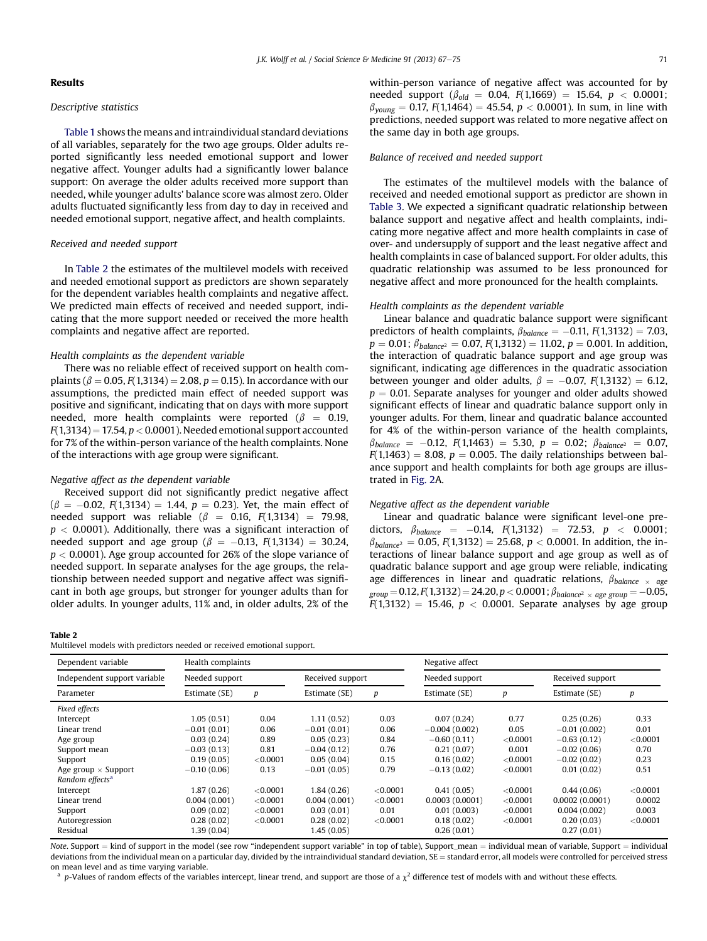## Results

# Descriptive statistics

[Table 1](#page-3-0) shows the means and intraindividual standard deviations of all variables, separately for the two age groups. Older adults reported significantly less needed emotional support and lower negative affect. Younger adults had a significantly lower balance support: On average the older adults received more support than needed, while younger adults' balance score was almost zero. Older adults fluctuated significantly less from day to day in received and needed emotional support, negative affect, and health complaints.

## Received and needed support

In Table 2 the estimates of the multilevel models with received and needed emotional support as predictors are shown separately for the dependent variables health complaints and negative affect. We predicted main effects of received and needed support, indicating that the more support needed or received the more health complaints and negative affect are reported.

#### Health complaints as the dependent variable

There was no reliable effect of received support on health complaints ( $\beta = 0.05$ ,  $F(1,3134) = 2.08$ ,  $p = 0.15$ ). In accordance with our assumptions, the predicted main effect of needed support was positive and significant, indicating that on days with more support needed, more health complaints were reported ( $\beta = 0.19$ ,  $F(1,3134) = 17.54$ ,  $p < 0.0001$ ). Needed emotional support accounted for 7% of the within-person variance of the health complaints. None of the interactions with age group were significant.

# Negative affect as the dependent variable

Received support did not significantly predict negative affect  $(\beta = -0.02, F(1,3134) = 1.44, p = 0.23)$ . Yet, the main effect of needed support was reliable ( $\beta$  = 0.16, F(1,3134) = 79.98,  $p < 0.0001$ ). Additionally, there was a significant interaction of needed support and age group ( $\beta = -0.13$ ,  $F(1,3134) = 30.24$ ,  $p < 0.0001$ ). Age group accounted for 26% of the slope variance of needed support. In separate analyses for the age groups, the relationship between needed support and negative affect was significant in both age groups, but stronger for younger adults than for older adults. In younger adults, 11% and, in older adults, 2% of the

#### Table 2

| Multilevel models with predictors needed or received emotional support. |
|-------------------------------------------------------------------------|
|                                                                         |

within-person variance of negative affect was accounted for by needed support ( $\beta_{old} = 0.04$ ,  $F(1,1669) = 15.64$ ,  $p < 0.0001$ ;  $\beta_{\text{voung}} = 0.17$ ,  $F(1,1464) = 45.54$ ,  $p < 0.0001$ ). In sum, in line with predictions, needed support was related to more negative affect on the same day in both age groups.

### Balance of received and needed support

The estimates of the multilevel models with the balance of received and needed emotional support as predictor are shown in [Table 3.](#page-5-0) We expected a significant quadratic relationship between balance support and negative affect and health complaints, indicating more negative affect and more health complaints in case of over- and undersupply of support and the least negative affect and health complaints in case of balanced support. For older adults, this quadratic relationship was assumed to be less pronounced for negative affect and more pronounced for the health complaints.

## Health complaints as the dependent variable

Linear balance and quadratic balance support were significant predictors of health complaints,  $\beta_{\text{balance}} = -0.11$ ,  $F(1,3132) = 7.03$ ,  $p = 0.01$ ;  $\beta_{\text{balance}^2} = 0.07$ ,  $F(1,3132) = 11.02$ ,  $p = 0.001$ . In addition, the interaction of quadratic balance support and age group was significant, indicating age differences in the quadratic association between younger and older adults,  $\beta = -0.07$ ,  $F(1,3132) = 6.12$  $p = 0.01$ . Separate analyses for younger and older adults showed significant effects of linear and quadratic balance support only in younger adults. For them, linear and quadratic balance accounted for 4% of the within-person variance of the health complaints,  $\beta_{\text{balance}} = -0.12, F(1,1463) = 5.30, p = 0.02; \beta_{\text{balance}^2} = 0.07,$  $F(1,1463) = 8.08$ ,  $p = 0.005$ . The daily relationships between balance support and health complaints for both age groups are illustrated in [Fig. 2A](#page-5-0).

## Negative affect as the dependent variable

Linear and quadratic balance were significant level-one predictors,  $\beta_{\text{balance}} = -0.14$ ,  $F(1,3132) = 72.53$ ,  $p < 0.0001$ ;  $\beta_{\text{halance}^2} = 0.05$ ,  $F(1,3132) = 25.68$ ,  $p < 0.0001$ . In addition, the interactions of linear balance support and age group as well as of quadratic balance support and age group were reliable, indicating age differences in linear and quadratic relations,  $\beta_{balance} \times age$  $_{group}=0.12$ , F(1,3132)  $=$  24.20, p  $<$  0.0001;  $\beta_{balance^{2}} \times$  age group  $=$   $-0.05,$  $F(1,3132) = 15.46$ ,  $p < 0.0001$ . Separate analyses by age group

| Dependent variable           | Health complaints |          |                  |          | Negative affect |          |                  |          |
|------------------------------|-------------------|----------|------------------|----------|-----------------|----------|------------------|----------|
| Independent support variable | Needed support    |          | Received support |          | Needed support  |          | Received support |          |
| Parameter                    | Estimate (SE)     | p        | Estimate (SE)    | p        | Estimate (SE)   | р        | Estimate (SE)    | p        |
| Fixed effects                |                   |          |                  |          |                 |          |                  |          |
| Intercept                    | 1.05(0.51)        | 0.04     | 1.11(0.52)       | 0.03     | 0.07(0.24)      | 0.77     | 0.25(0.26)       | 0.33     |
| Linear trend                 | $-0.01(0.01)$     | 0.06     | $-0.01(0.01)$    | 0.06     | $-0.004(0.002)$ | 0.05     | $-0.01(0.002)$   | 0.01     |
| Age group                    | 0.03(0.24)        | 0.89     | 0.05(0.23)       | 0.84     | $-0.60(0.11)$   | < 0.0001 | $-0.63(0.12)$    | < 0.0001 |
| Support mean                 | $-0.03(0.13)$     | 0.81     | $-0.04(0.12)$    | 0.76     | 0.21(0.07)      | 0.001    | $-0.02(0.06)$    | 0.70     |
| Support                      | 0.19(0.05)        | < 0.0001 | 0.05(0.04)       | 0.15     | 0.16(0.02)      | < 0.0001 | $-0.02(0.02)$    | 0.23     |
| Age group $\times$ Support   | $-0.10(0.06)$     | 0.13     | $-0.01(0.05)$    | 0.79     | $-0.13(0.02)$   | < 0.0001 | 0.01(0.02)       | 0.51     |
| Random effects <sup>a</sup>  |                   |          |                  |          |                 |          |                  |          |
| Intercept                    | 1.87(0.26)        | < 0.0001 | 1.84 (0.26)      | < 0.0001 | 0.41(0.05)      | < 0.0001 | 0.44(0.06)       | < 0.0001 |
| Linear trend                 | 0.004(0.001)      | < 0.0001 | 0.004(0.001)     | < 0.0001 | 0.0003(0.0001)  | < 0.0001 | 0.0002(0.0001)   | 0.0002   |
| Support                      | 0.09(0.02)        | < 0.0001 | 0.03(0.01)       | 0.01     | 0.01(0.003)     | < 0.0001 | 0.004(0.002)     | 0.003    |
| Autoregression               | 0.28(0.02)        | < 0.0001 | 0.28(0.02)       | < 0.0001 | 0.18(0.02)      | < 0.0001 | 0.20(0.03)       | < 0.0001 |
| Residual                     | 1.39 (0.04)       |          | 1.45 (0.05)      |          | 0.26(0.01)      |          | 0.27(0.01)       |          |

Note. Support = kind of support in the model (see row "independent support variable" in top of table), Support\_mean = individual mean of variable, Support = individual deviations from the individual mean on a particular day, divided by the intraindividual standard deviation,  $SE =$  standard error, all models were controlled for perceived stress on mean level and as time varying variable.

p-Values of random effects of the variables intercept, linear trend, and support are those of a  $\chi^2$  difference test of models with and without these effects.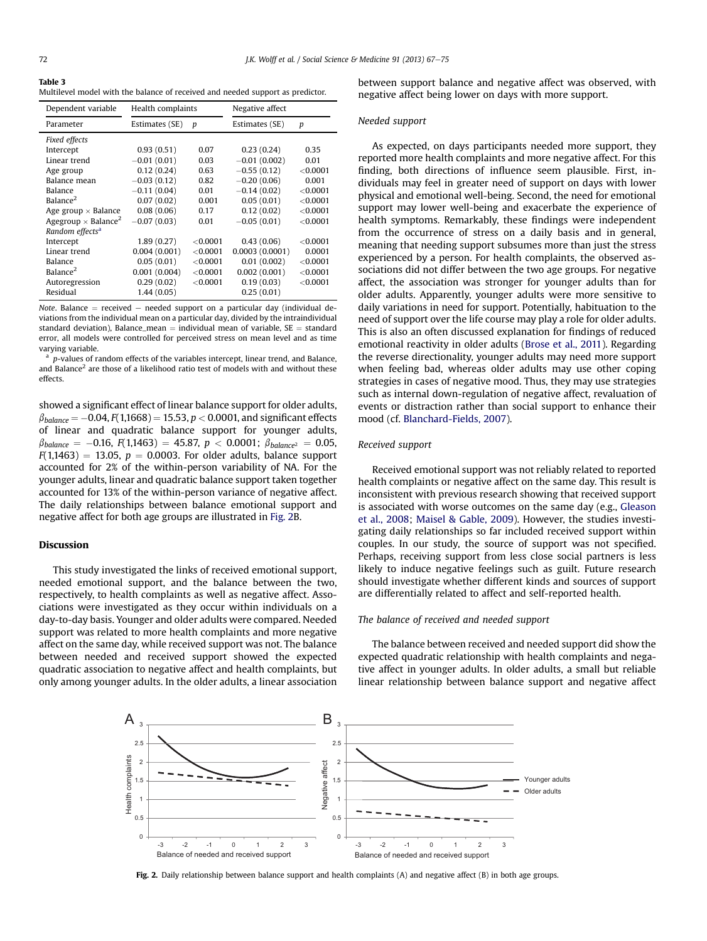#### <span id="page-5-0"></span>Table 3

| Multilevel model with the balance of received and needed support as predictor. |  |
|--------------------------------------------------------------------------------|--|
|--------------------------------------------------------------------------------|--|

| Dependent variable                     | Health complaints                  |          | Negative affect |                  |  |
|----------------------------------------|------------------------------------|----------|-----------------|------------------|--|
| Parameter                              | Estimates (SE)<br>$\boldsymbol{p}$ |          | Estimates (SE)  | $\boldsymbol{p}$ |  |
| Fixed effects                          |                                    |          |                 |                  |  |
| Intercept                              | 0.93(0.51)                         | 0.07     | 0.23(0.24)      | 0.35             |  |
| Linear trend                           | $-0.01(0.01)$                      | 0.03     | $-0.01(0.002)$  | 0.01             |  |
| Age group                              | 0.12(0.24)                         | 0.63     | $-0.55(0.12)$   | < 0.0001         |  |
| Balance mean                           | $-0.03(0.12)$                      | 0.82     | $-0.20(0.06)$   | 0.001            |  |
| Balance                                | $-0.11(0.04)$                      | 0.01     | $-0.14(0.02)$   | < 0.0001         |  |
| Balance <sup>2</sup>                   | 0.07(0.02)                         | 0.001    | 0.05(0.01)      | < 0.0001         |  |
| Age group $\times$ Balance             | 0.08(0.06)                         | 0.17     | 0.12(0.02)      | < 0.0001         |  |
| Agegroup $\times$ Balance <sup>2</sup> | $-0.07(0.03)$                      | 0.01     | $-0.05(0.01)$   | < 0.0001         |  |
| Random effects <sup>a</sup>            |                                    |          |                 |                  |  |
| Intercept                              | 1.89(0.27)                         | < 0.0001 | 0.43(0.06)      | < 0.0001         |  |
| Linear trend                           | 0.004(0.001)                       | < 0.0001 | 0.0003(0.0001)  | 0.0001           |  |
| Balance                                | 0.05(0.01)                         | < 0.0001 | 0.01(0.002)     | < 0.0001         |  |
| Balance <sup>2</sup>                   | 0.001(0.004)                       | < 0.0001 | 0.002(0.001)    | < 0.0001         |  |
| Autoregression                         | 0.29(0.02)                         | < 0.0001 | 0.19(0.03)      | < 0.0001         |  |
| Residual                               | 1.44(0.05)                         |          | 0.25(0.01)      |                  |  |

Note. Balance  $=$  received  $-$  needed support on a particular day (individual deviations from the individual mean on a particular day, divided by the intraindividual standard deviation), Balance\_mean = individual mean of variable,  $SE = standard$ error, all models were controlled for perceived stress on mean level and as time varying variable.

 $\overline{p}$ -values of random effects of the variables intercept, linear trend, and Balance, and Balance<sup>2</sup> are those of a likelihood ratio test of models with and without these effects.

showed a significant effect of linear balance support for older adults,  $\beta_{\textit{balance}} = -0.04$ ,  $F(1,1668) = 15.53$ ,  $p < 0.0001$ , and significant effects of linear and quadratic balance support for younger adults,  $\beta_{\textit{balance}}\,=\,-0.16,\ F(1{,}1463)\,=\,45.87,\ p\,<\,0.0001;\ \beta_{\textit{balance}^2}\,=\,0.05,$  $F(1,1463) = 13.05$ ,  $p = 0.0003$ . For older adults, balance support accounted for 2% of the within-person variability of NA. For the younger adults, linear and quadratic balance support taken together accounted for 13% of the within-person variance of negative affect. The daily relationships between balance emotional support and negative affect for both age groups are illustrated in Fig. 2B.

# Discussion

This study investigated the links of received emotional support, needed emotional support, and the balance between the two, respectively, to health complaints as well as negative affect. Associations were investigated as they occur within individuals on a day-to-day basis. Younger and older adults were compared. Needed support was related to more health complaints and more negative affect on the same day, while received support was not. The balance between needed and received support showed the expected quadratic association to negative affect and health complaints, but only among younger adults. In the older adults, a linear association between support balance and negative affect was observed, with negative affect being lower on days with more support.

## Needed support

As expected, on days participants needed more support, they reported more health complaints and more negative affect. For this finding, both directions of influence seem plausible. First, individuals may feel in greater need of support on days with lower physical and emotional well-being. Second, the need for emotional support may lower well-being and exacerbate the experience of health symptoms. Remarkably, these findings were independent from the occurrence of stress on a daily basis and in general, meaning that needing support subsumes more than just the stress experienced by a person. For health complaints, the observed associations did not differ between the two age groups. For negative affect, the association was stronger for younger adults than for older adults. Apparently, younger adults were more sensitive to daily variations in need for support. Potentially, habituation to the need of support over the life course may play a role for older adults. This is also an often discussed explanation for findings of reduced emotional reactivity in older adults [\(Brose et al., 2011](#page-7-0)). Regarding the reverse directionality, younger adults may need more support when feeling bad, whereas older adults may use other coping strategies in cases of negative mood. Thus, they may use strategies such as internal down-regulation of negative affect, revaluation of events or distraction rather than social support to enhance their mood (cf. [Blanchard-Fields, 2007\)](#page-7-0).

## Received support

Received emotional support was not reliably related to reported health complaints or negative affect on the same day. This result is inconsistent with previous research showing that received support is associated with worse outcomes on the same day (e.g., [Gleason](#page-7-0) [et al., 2008;](#page-7-0) [Maisel & Gable, 2009\)](#page-8-0). However, the studies investigating daily relationships so far included received support within couples. In our study, the source of support was not specified. Perhaps, receiving support from less close social partners is less likely to induce negative feelings such as guilt. Future research should investigate whether different kinds and sources of support are differentially related to affect and self-reported health.

## The balance of received and needed support

The balance between received and needed support did show the expected quadratic relationship with health complaints and negative affect in younger adults. In older adults, a small but reliable linear relationship between balance support and negative affect



Fig. 2. Daily relationship between balance support and health complaints (A) and negative affect (B) in both age groups.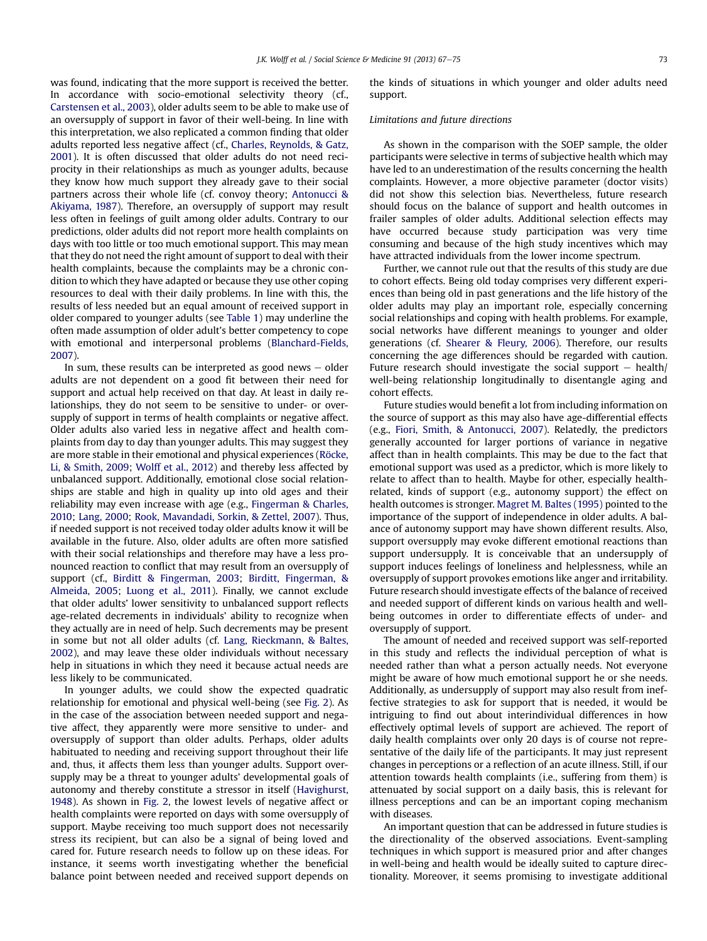was found, indicating that the more support is received the better. In accordance with socio-emotional selectivity theory (cf., [Carstensen et al., 2003](#page-7-0)), older adults seem to be able to make use of an oversupply of support in favor of their well-being. In line with this interpretation, we also replicated a common finding that older adults reported less negative affect (cf., [Charles, Reynolds, & Gatz,](#page-7-0) [2001\)](#page-7-0). It is often discussed that older adults do not need reciprocity in their relationships as much as younger adults, because they know how much support they already gave to their social partners across their whole life (cf. convoy theory; [Antonucci &](#page-7-0) [Akiyama, 1987\)](#page-7-0). Therefore, an oversupply of support may result less often in feelings of guilt among older adults. Contrary to our predictions, older adults did not report more health complaints on days with too little or too much emotional support. This may mean that they do not need the right amount of support to deal with their health complaints, because the complaints may be a chronic condition to which they have adapted or because they use other coping resources to deal with their daily problems. In line with this, the results of less needed but an equal amount of received support in older compared to younger adults (see [Table 1](#page-3-0)) may underline the often made assumption of older adult's better competency to cope with emotional and interpersonal problems ([Blanchard-Fields,](#page-7-0) [2007\)](#page-7-0).

In sum, these results can be interpreted as good news  $-$  older adults are not dependent on a good fit between their need for support and actual help received on that day. At least in daily relationships, they do not seem to be sensitive to under- or oversupply of support in terms of health complaints or negative affect. Older adults also varied less in negative affect and health complaints from day to day than younger adults. This may suggest they are more stable in their emotional and physical experiences [\(Röcke,](#page-8-0) [Li, & Smith, 2009;](#page-8-0) [Wolff et al., 2012\)](#page-8-0) and thereby less affected by unbalanced support. Additionally, emotional close social relationships are stable and high in quality up into old ages and their reliability may even increase with age (e.g., [Fingerman & Charles,](#page-7-0) [2010;](#page-7-0) [Lang, 2000](#page-7-0); [Rook, Mavandadi, Sorkin, & Zettel, 2007\)](#page-8-0). Thus, if needed support is not received today older adults know it will be available in the future. Also, older adults are often more satisfied with their social relationships and therefore may have a less pronounced reaction to conflict that may result from an oversupply of support (cf., [Birditt & Fingerman, 2003;](#page-7-0) [Birditt, Fingerman, &](#page-7-0) [Almeida, 2005](#page-7-0); [Luong et al., 2011\)](#page-8-0). Finally, we cannot exclude that older adults' lower sensitivity to unbalanced support reflects age-related decrements in individuals' ability to recognize when they actually are in need of help. Such decrements may be present in some but not all older adults (cf. [Lang, Rieckmann, & Baltes,](#page-8-0) [2002\)](#page-8-0), and may leave these older individuals without necessary help in situations in which they need it because actual needs are less likely to be communicated.

In younger adults, we could show the expected quadratic relationship for emotional and physical well-being (see [Fig. 2\)](#page-5-0). As in the case of the association between needed support and negative affect, they apparently were more sensitive to under- and oversupply of support than older adults. Perhaps, older adults habituated to needing and receiving support throughout their life and, thus, it affects them less than younger adults. Support oversupply may be a threat to younger adults' developmental goals of autonomy and thereby constitute a stressor in itself [\(Havighurst,](#page-7-0) [1948](#page-7-0)). As shown in [Fig. 2,](#page-5-0) the lowest levels of negative affect or health complaints were reported on days with some oversupply of support. Maybe receiving too much support does not necessarily stress its recipient, but can also be a signal of being loved and cared for. Future research needs to follow up on these ideas. For instance, it seems worth investigating whether the beneficial balance point between needed and received support depends on

the kinds of situations in which younger and older adults need support.

# Limitations and future directions

As shown in the comparison with the SOEP sample, the older participants were selective in terms of subjective health which may have led to an underestimation of the results concerning the health complaints. However, a more objective parameter (doctor visits) did not show this selection bias. Nevertheless, future research should focus on the balance of support and health outcomes in frailer samples of older adults. Additional selection effects may have occurred because study participation was very time consuming and because of the high study incentives which may have attracted individuals from the lower income spectrum.

Further, we cannot rule out that the results of this study are due to cohort effects. Being old today comprises very different experiences than being old in past generations and the life history of the older adults may play an important role, especially concerning social relationships and coping with health problems. For example, social networks have different meanings to younger and older generations (cf. [Shearer & Fleury, 2006](#page-8-0)). Therefore, our results concerning the age differences should be regarded with caution. Future research should investigate the social support  $-$  health/ well-being relationship longitudinally to disentangle aging and cohort effects.

Future studies would benefit a lot from including information on the source of support as this may also have age-differential effects (e.g., [Fiori, Smith, & Antonucci, 2007](#page-7-0)). Relatedly, the predictors generally accounted for larger portions of variance in negative affect than in health complaints. This may be due to the fact that emotional support was used as a predictor, which is more likely to relate to affect than to health. Maybe for other, especially healthrelated, kinds of support (e.g., autonomy support) the effect on health outcomes is stronger. [Magret M. Baltes \(1995\)](#page-7-0) pointed to the importance of the support of independence in older adults. A balance of autonomy support may have shown different results. Also, support oversupply may evoke different emotional reactions than support undersupply. It is conceivable that an undersupply of support induces feelings of loneliness and helplessness, while an oversupply of support provokes emotions like anger and irritability. Future research should investigate effects of the balance of received and needed support of different kinds on various health and wellbeing outcomes in order to differentiate effects of under- and oversupply of support.

The amount of needed and received support was self-reported in this study and reflects the individual perception of what is needed rather than what a person actually needs. Not everyone might be aware of how much emotional support he or she needs. Additionally, as undersupply of support may also result from ineffective strategies to ask for support that is needed, it would be intriguing to find out about interindividual differences in how effectively optimal levels of support are achieved. The report of daily health complaints over only 20 days is of course not representative of the daily life of the participants. It may just represent changes in perceptions or a reflection of an acute illness. Still, if our attention towards health complaints (i.e., suffering from them) is attenuated by social support on a daily basis, this is relevant for illness perceptions and can be an important coping mechanism with diseases.

An important question that can be addressed in future studies is the directionality of the observed associations. Event-sampling techniques in which support is measured prior and after changes in well-being and health would be ideally suited to capture directionality. Moreover, it seems promising to investigate additional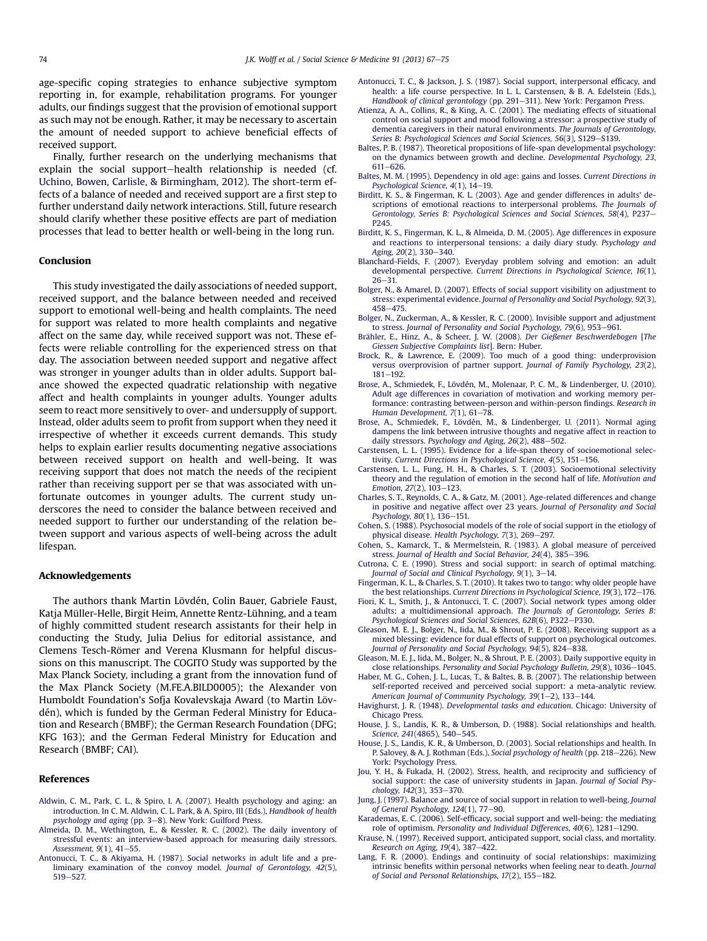<span id="page-7-0"></span>age-specific coping strategies to enhance subjective symptom reporting in, for example, rehabilitation programs. For younger adults, our findings suggest that the provision of emotional support as such may not be enough. Rather, it may be necessary to ascertain the amount of needed support to achieve beneficial effects of received support.

Finally, further research on the underlying mechanisms that explain the social support-health relationship is needed (cf. [Uchino, Bowen, Carlisle, & Birmingham, 2012](#page-8-0)). The short-term effects of a balance of needed and received support are a first step to further understand daily network interactions. Still, future research should clarify whether these positive effects are part of mediation processes that lead to better health or well-being in the long run.

# Conclusion

This study investigated the daily associations of needed support, received support, and the balance between needed and received support to emotional well-being and health complaints. The need for support was related to more health complaints and negative affect on the same day, while received support was not. These effects were reliable controlling for the experienced stress on that day. The association between needed support and negative affect was stronger in younger adults than in older adults. Support balance showed the expected quadratic relationship with negative affect and health complaints in younger adults. Younger adults seem to react more sensitively to over- and undersupply of support. Instead, older adults seem to profit from support when they need it irrespective of whether it exceeds current demands. This study helps to explain earlier results documenting negative associations between received support on health and well-being. It was receiving support that does not match the needs of the recipient rather than receiving support per se that was associated with unfortunate outcomes in younger adults. The current study underscores the need to consider the balance between received and needed support to further our understanding of the relation between support and various aspects of well-being across the adult lifespan.

## Acknowledgements

The authors thank Martin Lövdén, Colin Bauer, Gabriele Faust, Katja Müller-Helle, Birgit Heim, Annette Rentz-Lühning, and a team of highly committed student research assistants for their help in conducting the Study, Julia Delius for editorial assistance, and Clemens Tesch-Römer and Verena Klusmann for helpful discussions on this manuscript. The COGITO Study was supported by the Max Planck Society, including a grant from the innovation fund of the Max Planck Society (M.FE.A.BILD0005); the Alexander von Humboldt Foundation's Sofja Kovalevskaja Award (to Martin Lövdén), which is funded by the German Federal Ministry for Education and Research (BMBF); the German Research Foundation (DFG; KFG 163); and the German Federal Ministry for Education and Research (BMBF; CAI).

#### References

- [Aldwin, C. M., Park, C. L., & Spiro, I. A. \(2007\). Health psychology and aging: an](http://refhub.elsevier.com/S0277-9536(13)00267-0/sref1) [introduction. In C. M. Aldwin, C. L. Park, & A. Spiro, III \(Eds.\),](http://refhub.elsevier.com/S0277-9536(13)00267-0/sref1) Handbook of health [psychology and aging](http://refhub.elsevier.com/S0277-9536(13)00267-0/sref1) (pp. 3-[8\). New York: Guilford Press.](http://refhub.elsevier.com/S0277-9536(13)00267-0/sref1)
- [Almeida, D. M., Wethington, E., & Kessler, R. C. \(2002\). The daily inventory of](http://refhub.elsevier.com/S0277-9536(13)00267-0/sref2) [stressful events: an interview-based approach for measuring daily stressors.](http://refhub.elsevier.com/S0277-9536(13)00267-0/sref2) [Assessment, 9](http://refhub.elsevier.com/S0277-9536(13)00267-0/sref2)(1), 41-[55.](http://refhub.elsevier.com/S0277-9536(13)00267-0/sref2)
- [Antonucci, T. C., & Akiyama, H. \(1987\). Social networks in adult life and a pre](http://refhub.elsevier.com/S0277-9536(13)00267-0/sref3)[liminary examination of the convoy model.](http://refhub.elsevier.com/S0277-9536(13)00267-0/sref3) Journal of Gerontology, 42(5),  $519 - 527$  $519 - 527$ .
- [Antonucci, T. C., & Jackson, J. S. \(1987\). Social support, interpersonal ef](http://refhub.elsevier.com/S0277-9536(13)00267-0/sref4)ficacy, and [health: a life course perspective. In L. L. Carstensen, & B. A. Edelstein \(Eds.\),](http://refhub.elsevier.com/S0277-9536(13)00267-0/sref4) [Handbook of clinical gerontology](http://refhub.elsevier.com/S0277-9536(13)00267-0/sref4) (pp. 291-[311\). New York: Pergamon Press.](http://refhub.elsevier.com/S0277-9536(13)00267-0/sref4)<br>[Atienza, A. A., Collins, R., & King, A. C. \(2001\). The mediating effects of situational](http://refhub.elsevier.com/S0277-9536(13)00267-0/sref5)
- [control on social support and mood following a stressor: a prospective study of](http://refhub.elsevier.com/S0277-9536(13)00267-0/sref5) [dementia caregivers in their natural environments.](http://refhub.elsevier.com/S0277-9536(13)00267-0/sref5) The Journals of Gerontology, [Series B: Psychological Sciences and Social Sciences, 56](http://refhub.elsevier.com/S0277-9536(13)00267-0/sref5)(3), S129–[S139](http://refhub.elsevier.com/S0277-9536(13)00267-0/sref5).
- [Baltes, P. B. \(1987\). Theoretical propositions of life-span developmental psychology:](http://refhub.elsevier.com/S0277-9536(13)00267-0/sref6) [on the dynamics between growth and decline.](http://refhub.elsevier.com/S0277-9536(13)00267-0/sref6) Developmental Psychology, 23,  $611 - 626$  $611 - 626$  $611 - 626$
- [Baltes, M. M. \(1995\). Dependency in old age: gains and losses.](http://refhub.elsevier.com/S0277-9536(13)00267-0/sref7) Current Directions in Psychological Science,  $4(1)$ ,  $14-19$ .
- [Birditt, K. S., & Fingerman, K. L. \(2003\). Age and gender differences in adults](http://refhub.elsevier.com/S0277-9536(13)00267-0/sref8)' de[scriptions of emotional reactions to interpersonal problems.](http://refhub.elsevier.com/S0277-9536(13)00267-0/sref8) The Journals of [Gerontology, Series B: Psychological Sciences and Social Sciences, 58](http://refhub.elsevier.com/S0277-9536(13)00267-0/sref8)(4), P237– [P245.](http://refhub.elsevier.com/S0277-9536(13)00267-0/sref8)
- [Birditt, K. S., Fingerman, K. L., & Almeida, D. M. \(2005\). Age differences in exposure](http://refhub.elsevier.com/S0277-9536(13)00267-0/sref9) [and reactions to interpersonal tensions: a daily diary study.](http://refhub.elsevier.com/S0277-9536(13)00267-0/sref9) Psychology and [Aging, 20](http://refhub.elsevier.com/S0277-9536(13)00267-0/sref9)(2), 330-[340](http://refhub.elsevier.com/S0277-9536(13)00267-0/sref9).
- [Blanchard-Fields, F. \(2007\). Everyday problem solving and emotion: an adult](http://refhub.elsevier.com/S0277-9536(13)00267-0/sref10) developmental perspective. [Current Directions in Psychological Science, 16](http://refhub.elsevier.com/S0277-9536(13)00267-0/sref10)(1),  $26 - 31$  $26 - 31$
- [Bolger, N., & Amarel, D. \(2007\). Effects of social support visibility on adjustment to](http://refhub.elsevier.com/S0277-9536(13)00267-0/sref11) stress: experimental evidence. [Journal of Personality and Social Psychology, 92](http://refhub.elsevier.com/S0277-9536(13)00267-0/sref11)(3), [458](http://refhub.elsevier.com/S0277-9536(13)00267-0/sref11)-[475](http://refhub.elsevier.com/S0277-9536(13)00267-0/sref11)
- [Bolger, N., Zuckerman, A., & Kessler, R. C. \(2000\). Invisible support and adjustment](http://refhub.elsevier.com/S0277-9536(13)00267-0/sref12) to stress. [Journal of Personality and Social Psychology, 79](http://refhub.elsevier.com/S0277-9536(13)00267-0/sref12)(6), 953-[961.](http://refhub.elsevier.com/S0277-9536(13)00267-0/sref12)
- [Brähler, E., Hinz, A., & Scheer, J. W. \(2008\).](http://refhub.elsevier.com/S0277-9536(13)00267-0/sref13) Der Gießener Beschwerdebogen [The [Giessen Subjective Complaints list](http://refhub.elsevier.com/S0277-9536(13)00267-0/sref13)]. Bern: Huber.
- [Brock, R., & Lawrence, E. \(2009\). Too much of a good thing: underprovision](http://refhub.elsevier.com/S0277-9536(13)00267-0/sref14) [versus overprovision of partner support.](http://refhub.elsevier.com/S0277-9536(13)00267-0/sref14) Journal of Family Psychology, 23(2),  $181 - 192$  $181 - 192$
- [Brose, A., Schmiedek, F., Lövdén, M., Molenaar, P. C. M., & Lindenberger, U. \(2010\).](http://refhub.elsevier.com/S0277-9536(13)00267-0/sref15) [Adult age differences in covariation of motivation and working memory per](http://refhub.elsevier.com/S0277-9536(13)00267-0/sref15)[formance: contrasting between-person and within-person](http://refhub.elsevier.com/S0277-9536(13)00267-0/sref15) findings. Research in Human Development,  $7(1)$ ,  $61-78$  $61-78$ .
- [Brose, A., Schmiedek, F., Lövdén, M., & Lindenberger, U. \(2011\). Normal aging](http://refhub.elsevier.com/S0277-9536(13)00267-0/sref16) [dampens the link between intrusive thoughts and negative affect in reaction to](http://refhub.elsevier.com/S0277-9536(13)00267-0/sref16) daily stressors. [Psychology and Aging, 26](http://refhub.elsevier.com/S0277-9536(13)00267-0/sref16)(2), 488-[502.](http://refhub.elsevier.com/S0277-9536(13)00267-0/sref16)
- [Carstensen, L. L. \(1995\). Evidence for a life-span theory of socioemotional selec-](http://refhub.elsevier.com/S0277-9536(13)00267-0/sref17)tivity. [Current Directions in Psychological Science, 4](http://refhub.elsevier.com/S0277-9536(13)00267-0/sref17)(5), 151-[156.](http://refhub.elsevier.com/S0277-9536(13)00267-0/sref17)
- [Carstensen, L. L., Fung, H. H., & Charles, S. T. \(2003\). Socioemotional selectivity](http://refhub.elsevier.com/S0277-9536(13)00267-0/sref18) [theory and the regulation of emotion in the second half of life.](http://refhub.elsevier.com/S0277-9536(13)00267-0/sref18) Motivation and [Emotion, 27](http://refhub.elsevier.com/S0277-9536(13)00267-0/sref18)(2), 103-[123](http://refhub.elsevier.com/S0277-9536(13)00267-0/sref18).
- [Charles, S. T., Reynolds, C. A., & Gatz, M. \(2001\). Age-related differences and change](http://refhub.elsevier.com/S0277-9536(13)00267-0/sref19) [in positive and negative affect over 23 years.](http://refhub.elsevier.com/S0277-9536(13)00267-0/sref19) Journal of Personality and Social [Psychology, 80](http://refhub.elsevier.com/S0277-9536(13)00267-0/sref19)(1), 136-[151.](http://refhub.elsevier.com/S0277-9536(13)00267-0/sref19)
- [Cohen, S. \(1988\). Psychosocial models of the role of social support in the etiology of](http://refhub.elsevier.com/S0277-9536(13)00267-0/sref20) physical disease. [Health Psychology, 7](http://refhub.elsevier.com/S0277-9536(13)00267-0/sref20)(3), 269-[297.](http://refhub.elsevier.com/S0277-9536(13)00267-0/sref20)
- [Cohen, S., Kamarck, T., & Mermelstein, R. \(1983\). A global measure of perceived](http://refhub.elsevier.com/S0277-9536(13)00267-0/sref21) stress. [Journal of Health and Social Behavior, 24](http://refhub.elsevier.com/S0277-9536(13)00267-0/sref21)(4), 385-[396](http://refhub.elsevier.com/S0277-9536(13)00267-0/sref21).
- [Cutrona, C. E. \(1990\). Stress and social support: in search of optimal matching.](http://refhub.elsevier.com/S0277-9536(13)00267-0/sref22) Journal of Social and Clinical Psychology,  $9(1)$ , 3-[14](http://refhub.elsevier.com/S0277-9536(13)00267-0/sref22).
- [Fingerman, K. L., & Charles, S. T. \(2010\). It takes two to tango: why older people have](http://refhub.elsevier.com/S0277-9536(13)00267-0/sref23) the best relationships. [Current Directions in Psychological Science, 19](http://refhub.elsevier.com/S0277-9536(13)00267-0/sref23)(3), 172-[176](http://refhub.elsevier.com/S0277-9536(13)00267-0/sref23).
- [Fiori, K. L., Smith, J., & Antonucci, T. C. \(2007\). Social network types among older](http://refhub.elsevier.com/S0277-9536(13)00267-0/sref24) [adults: a multidimensional approach.](http://refhub.elsevier.com/S0277-9536(13)00267-0/sref24) The Journals of Gerontology, Series B: [Psychological Sciences and Social Sciences, 62B](http://refhub.elsevier.com/S0277-9536(13)00267-0/sref24)(6), P322-[P330](http://refhub.elsevier.com/S0277-9536(13)00267-0/sref24).
- [Gleason, M. E. J., Bolger, N., Iida, M., & Shrout, P. E. \(2008\). Receiving support as a](http://refhub.elsevier.com/S0277-9536(13)00267-0/sref25) [mixed blessing: evidence for dual effects of support on psychological outcomes.](http://refhub.elsevier.com/S0277-9536(13)00267-0/sref25) Journal of Personality and Social Psychology,  $94(5)$ , 824-[838.](http://refhub.elsevier.com/S0277-9536(13)00267-0/sref25)
- [Gleason, M. E. J., Iida, M., Bolger, N., & Shrout, P. E. \(2003\). Daily supportive equity in](http://refhub.elsevier.com/S0277-9536(13)00267-0/sref26) close relationships. [Personality and Social Psychology Bulletin, 29](http://refhub.elsevier.com/S0277-9536(13)00267-0/sref26)(8), 1036-[1045](http://refhub.elsevier.com/S0277-9536(13)00267-0/sref26).
- [Haber, M. G., Cohen, J. L., Lucas, T., & Baltes, B. B. \(2007\). The relationship between](http://refhub.elsevier.com/S0277-9536(13)00267-0/sref27) [self-reported received and perceived social support: a meta-analytic review.](http://refhub.elsevier.com/S0277-9536(13)00267-0/sref27) [American Journal of Community Psychology, 39](http://refhub.elsevier.com/S0277-9536(13)00267-0/sref27)(1-[2\), 133](http://refhub.elsevier.com/S0277-9536(13)00267-0/sref27)-[144](http://refhub.elsevier.com/S0277-9536(13)00267-0/sref27).
- Havighurst, J. R. (1948). [Developmental tasks and education](http://refhub.elsevier.com/S0277-9536(13)00267-0/sref28). Chicago: University of [Chicago Press](http://refhub.elsevier.com/S0277-9536(13)00267-0/sref28).
- [House, J. S., Landis, K. R., & Umberson, D. \(1988\). Social relationships and health.](http://refhub.elsevier.com/S0277-9536(13)00267-0/sref29) [Science, 241](http://refhub.elsevier.com/S0277-9536(13)00267-0/sref29)(4865), 540-[545.](http://refhub.elsevier.com/S0277-9536(13)00267-0/sref29)
- [House, J. S., Landis, K. R., & Umberson, D. \(2003\). Social relationships and health. In](http://refhub.elsevier.com/S0277-9536(13)00267-0/sref30) [P. Salovey, & A. J. Rothman \(Eds.\),](http://refhub.elsevier.com/S0277-9536(13)00267-0/sref30) Social psychology of health (pp. 218-[226\). New](http://refhub.elsevier.com/S0277-9536(13)00267-0/sref30) [York: Psychology Press](http://refhub.elsevier.com/S0277-9536(13)00267-0/sref30).
- [Jou, Y. H., & Fukada, H. \(2002\). Stress, health, and reciprocity and suf](http://refhub.elsevier.com/S0277-9536(13)00267-0/sref31)ficiency of [social support: the case of university students in Japan.](http://refhub.elsevier.com/S0277-9536(13)00267-0/sref31) Journal of Social Psychology,  $142(3)$ ,  $353-370$  $353-370$ .
- [Jung, J. \(1997\). Balance and source of social support in relation to well-being.](http://refhub.elsevier.com/S0277-9536(13)00267-0/sref32) Journal [of General Psychology, 124](http://refhub.elsevier.com/S0277-9536(13)00267-0/sref32)(1), 77-[90.](http://refhub.elsevier.com/S0277-9536(13)00267-0/sref32)
- Karademas, E. C. (2006). Self-effi[cacy, social support and well-being: the mediating](http://refhub.elsevier.com/S0277-9536(13)00267-0/sref33) role of optimism. [Personality and Individual Differences, 40](http://refhub.elsevier.com/S0277-9536(13)00267-0/sref33)(6), 1281-[1290](http://refhub.elsevier.com/S0277-9536(13)00267-0/sref33).
- [Krause, N. \(1997\). Received support, anticipated support, social class, and mortality.](http://refhub.elsevier.com/S0277-9536(13)00267-0/sref34) Research on Aging,  $19(4)$ ,  $387-422$  $387-422$ .
- [Lang, F. R. \(2000\). Endings and continuity of social relationships: maximizing](http://refhub.elsevier.com/S0277-9536(13)00267-0/sref35) intrinsic benefi[ts within personal networks when feeling near to death.](http://refhub.elsevier.com/S0277-9536(13)00267-0/sref35) Journal of Social and Personal Relationships,  $17(2)$ ,  $155-182$  $155-182$ .